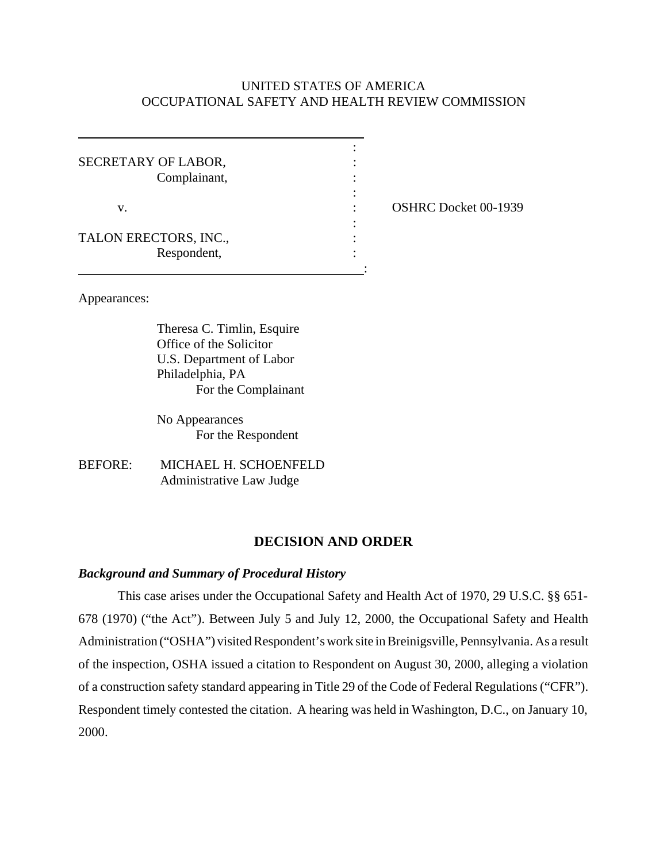## UNITED STATES OF AMERICA OCCUPATIONAL SAFETY AND HEALTH REVIEW COMMISSION

| SECRETARY OF LABOR,   |  |
|-----------------------|--|
| Complainant,          |  |
|                       |  |
| v.                    |  |
|                       |  |
| TALON ERECTORS, INC., |  |
| Respondent,           |  |
|                       |  |

: **OSHRC Docket 00-1939** 

Appearances:

 $\overline{a}$ 

Theresa C. Timlin, Esquire Office of the Solicitor U.S. Department of Labor Philadelphia, PA For the Complainant

No Appearances For the Respondent

BEFORE: MICHAEL H. SCHOENFELD Administrative Law Judge

## **DECISION AND ORDER**

### *Background and Summary of Procedural History*

This case arises under the Occupational Safety and Health Act of 1970, 29 U.S.C. §§ 651- 678 (1970) ("the Act"). Between July 5 and July 12, 2000, the Occupational Safety and Health Administration ("OSHA") visited Respondent's work site in Breinigsville, Pennsylvania. As a result of the inspection, OSHA issued a citation to Respondent on August 30, 2000, alleging a violation of a construction safety standard appearing in Title 29 of the Code of Federal Regulations ("CFR"). Respondent timely contested the citation. A hearing was held in Washington, D.C., on January 10, 2000.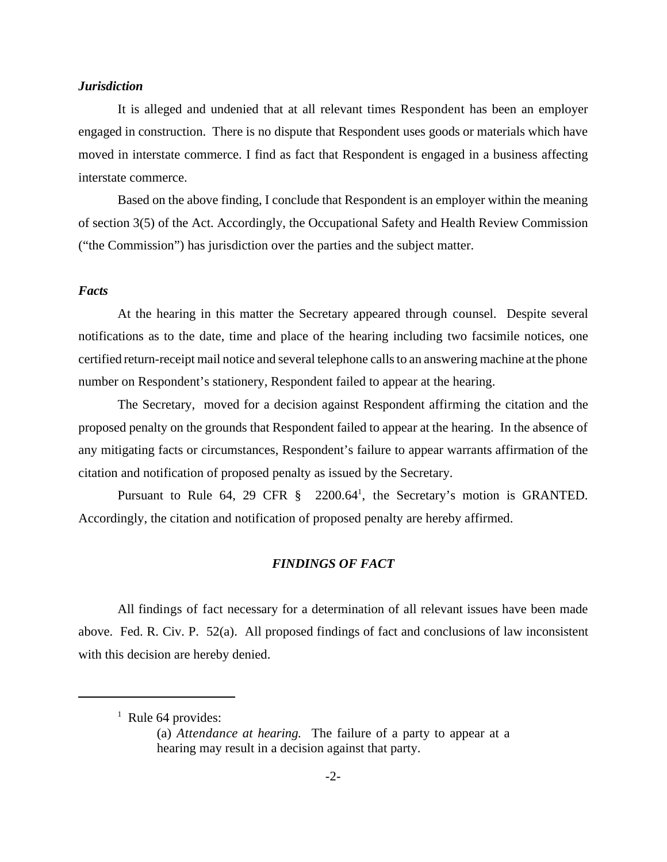## *Jurisdiction*

It is alleged and undenied that at all relevant times Respondent has been an employer engaged in construction. There is no dispute that Respondent uses goods or materials which have moved in interstate commerce. I find as fact that Respondent is engaged in a business affecting interstate commerce.

Based on the above finding, I conclude that Respondent is an employer within the meaning of section 3(5) of the Act. Accordingly, the Occupational Safety and Health Review Commission ("the Commission") has jurisdiction over the parties and the subject matter.

#### *Facts*

At the hearing in this matter the Secretary appeared through counsel. Despite several notifications as to the date, time and place of the hearing including two facsimile notices, one certified return-receipt mail notice and several telephone calls to an answering machine at the phone number on Respondent's stationery, Respondent failed to appear at the hearing.

The Secretary, moved for a decision against Respondent affirming the citation and the proposed penalty on the grounds that Respondent failed to appear at the hearing. In the absence of any mitigating facts or circumstances, Respondent's failure to appear warrants affirmation of the citation and notification of proposed penalty as issued by the Secretary.

Pursuant to Rule 64, 29 CFR  $\S$  2200.64<sup>1</sup>, the Secretary's motion is GRANTED. Accordingly, the citation and notification of proposed penalty are hereby affirmed.

## *FINDINGS OF FACT*

All findings of fact necessary for a determination of all relevant issues have been made above. Fed. R. Civ. P. 52(a). All proposed findings of fact and conclusions of law inconsistent with this decision are hereby denied.

 $<sup>1</sup>$  Rule 64 provides:</sup>

<sup>(</sup>a) *Attendance at hearing.* The failure of a party to appear at a hearing may result in a decision against that party.